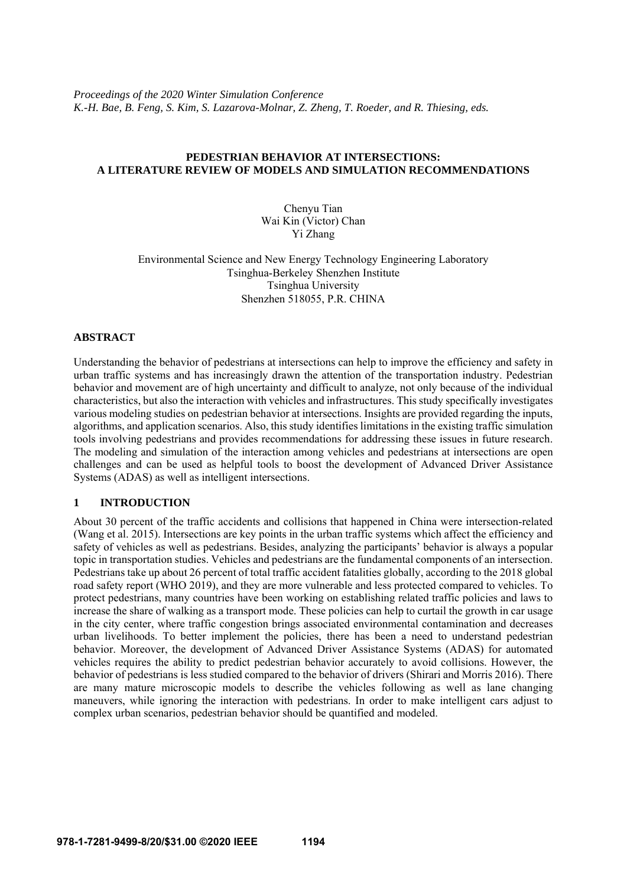*Proceedings of the 2020 Winter Simulation Conference K.-H. Bae, B. Feng, S. Kim, S. Lazarova-Molnar, Z. Zheng, T. Roeder, and R. Thiesing, eds.* 

## **PEDESTRIAN BEHAVIOR AT INTERSECTIONS: A LITERATURE REVIEW OF MODELS AND SIMULATION RECOMMENDATIONS**

Chenyu Tian Wai Kin (Victor) Chan Yi Zhang

Environmental Science and New Energy Technology Engineering Laboratory Tsinghua-Berkeley Shenzhen Institute Tsinghua University Shenzhen 518055, P.R. CHINA

#### **ABSTRACT**

Understanding the behavior of pedestrians at intersections can help to improve the efficiency and safety in urban traffic systems and has increasingly drawn the attention of the transportation industry. Pedestrian behavior and movement are of high uncertainty and difficult to analyze, not only because of the individual characteristics, but also the interaction with vehicles and infrastructures. This study specifically investigates various modeling studies on pedestrian behavior at intersections. Insights are provided regarding the inputs, algorithms, and application scenarios. Also, this study identifies limitations in the existing traffic simulation tools involving pedestrians and provides recommendations for addressing these issues in future research. The modeling and simulation of the interaction among vehicles and pedestrians at intersections are open challenges and can be used as helpful tools to boost the development of Advanced Driver Assistance Systems (ADAS) as well as intelligent intersections.

# **1 INTRODUCTION**

About 30 percent of the traffic accidents and collisions that happened in China were intersection-related (Wang et al. 2015). Intersections are key points in the urban traffic systems which affect the efficiency and safety of vehicles as well as pedestrians. Besides, analyzing the participants' behavior is always a popular topic in transportation studies. Vehicles and pedestrians are the fundamental components of an intersection. Pedestrians take up about 26 percent of total traffic accident fatalities globally, according to the 2018 global road safety report (WHO 2019), and they are more vulnerable and less protected compared to vehicles. To protect pedestrians, many countries have been working on establishing related traffic policies and laws to increase the share of walking as a transport mode. These policies can help to curtail the growth in car usage in the city center, where traffic congestion brings associated environmental contamination and decreases urban livelihoods. To better implement the policies, there has been a need to understand pedestrian behavior. Moreover, the development of Advanced Driver Assistance Systems (ADAS) for automated vehicles requires the ability to predict pedestrian behavior accurately to avoid collisions. However, the behavior of pedestrians is less studied compared to the behavior of drivers (Shirari and Morris 2016). There are many mature microscopic models to describe the vehicles following as well as lane changing maneuvers, while ignoring the interaction with pedestrians. In order to make intelligent cars adjust to complex urban scenarios, pedestrian behavior should be quantified and modeled.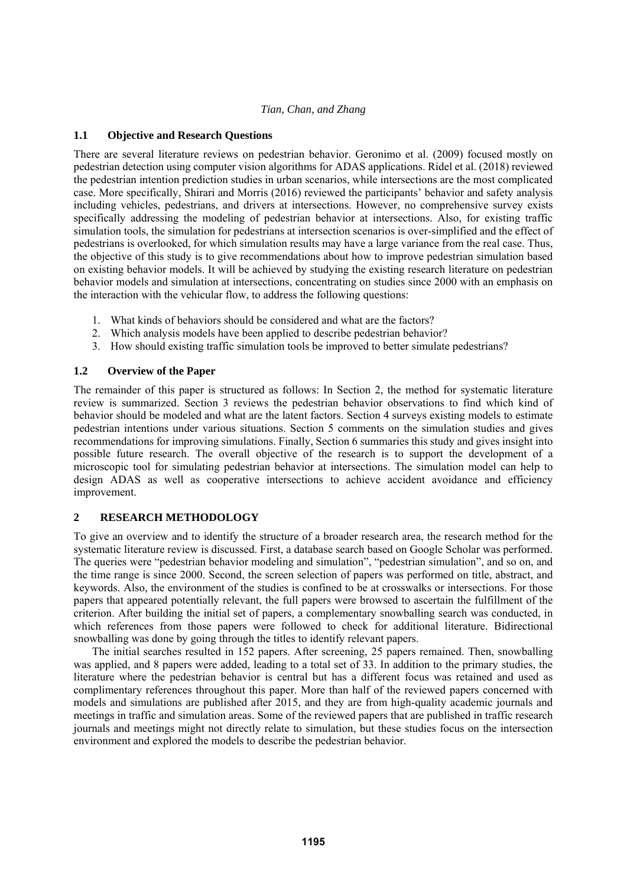# **1.1 Objective and Research Questions**

There are several literature reviews on pedestrian behavior. Geronimo et al. (2009) focused mostly on pedestrian detection using computer vision algorithms for ADAS applications. Ridel et al. (2018) reviewed the pedestrian intention prediction studies in urban scenarios, while intersections are the most complicated case. More specifically, Shirari and Morris (2016) reviewed the participants' behavior and safety analysis including vehicles, pedestrians, and drivers at intersections. However, no comprehensive survey exists specifically addressing the modeling of pedestrian behavior at intersections. Also, for existing traffic simulation tools, the simulation for pedestrians at intersection scenarios is over-simplified and the effect of pedestrians is overlooked, for which simulation results may have a large variance from the real case. Thus, the objective of this study is to give recommendations about how to improve pedestrian simulation based on existing behavior models. It will be achieved by studying the existing research literature on pedestrian behavior models and simulation at intersections, concentrating on studies since 2000 with an emphasis on the interaction with the vehicular flow, to address the following questions:

- 1. What kinds of behaviors should be considered and what are the factors?
- 2. Which analysis models have been applied to describe pedestrian behavior?
- 3. How should existing traffic simulation tools be improved to better simulate pedestrians?

## **1.2 Overview of the Paper**

The remainder of this paper is structured as follows: In Section 2, the method for systematic literature review is summarized. Section 3 reviews the pedestrian behavior observations to find which kind of behavior should be modeled and what are the latent factors. Section 4 surveys existing models to estimate pedestrian intentions under various situations. Section 5 comments on the simulation studies and gives recommendations for improving simulations. Finally, Section 6 summaries this study and gives insight into possible future research. The overall objective of the research is to support the development of a microscopic tool for simulating pedestrian behavior at intersections. The simulation model can help to design ADAS as well as cooperative intersections to achieve accident avoidance and efficiency improvement.

# **2 RESEARCH METHODOLOGY**

To give an overview and to identify the structure of a broader research area, the research method for the systematic literature review is discussed. First, a database search based on Google Scholar was performed. The queries were "pedestrian behavior modeling and simulation", "pedestrian simulation", and so on, and the time range is since 2000. Second, the screen selection of papers was performed on title, abstract, and keywords. Also, the environment of the studies is confined to be at crosswalks or intersections. For those papers that appeared potentially relevant, the full papers were browsed to ascertain the fulfillment of the criterion. After building the initial set of papers, a complementary snowballing search was conducted, in which references from those papers were followed to check for additional literature. Bidirectional snowballing was done by going through the titles to identify relevant papers.

The initial searches resulted in 152 papers. After screening, 25 papers remained. Then, snowballing was applied, and 8 papers were added, leading to a total set of 33. In addition to the primary studies, the literature where the pedestrian behavior is central but has a different focus was retained and used as complimentary references throughout this paper. More than half of the reviewed papers concerned with models and simulations are published after 2015, and they are from high-quality academic journals and meetings in traffic and simulation areas. Some of the reviewed papers that are published in traffic research journals and meetings might not directly relate to simulation, but these studies focus on the intersection environment and explored the models to describe the pedestrian behavior.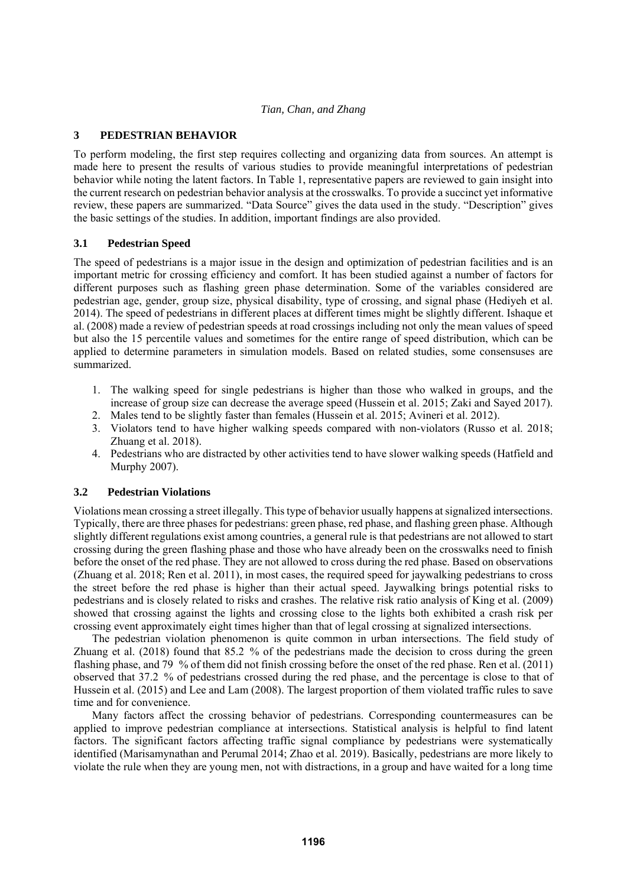# **3 PEDESTRIAN BEHAVIOR**

To perform modeling, the first step requires collecting and organizing data from sources. An attempt is made here to present the results of various studies to provide meaningful interpretations of pedestrian behavior while noting the latent factors. In Table 1, representative papers are reviewed to gain insight into the current research on pedestrian behavior analysis at the crosswalks. To provide a succinct yet informative review, these papers are summarized. "Data Source" gives the data used in the study. "Description" gives the basic settings of the studies. In addition, important findings are also provided.

# **3.1 Pedestrian Speed**

The speed of pedestrians is a major issue in the design and optimization of pedestrian facilities and is an important metric for crossing efficiency and comfort. It has been studied against a number of factors for different purposes such as flashing green phase determination. Some of the variables considered are pedestrian age, gender, group size, physical disability, type of crossing, and signal phase (Hediyeh et al. 2014). The speed of pedestrians in different places at different times might be slightly different. Ishaque et al. (2008) made a review of pedestrian speeds at road crossings including not only the mean values of speed but also the 15 percentile values and sometimes for the entire range of speed distribution, which can be applied to determine parameters in simulation models. Based on related studies, some consensuses are summarized.

- 1. The walking speed for single pedestrians is higher than those who walked in groups, and the increase of group size can decrease the average speed (Hussein et al. 2015; Zaki and Sayed 2017).
- 2. Males tend to be slightly faster than females (Hussein et al. 2015; Avineri et al. 2012).
- 3. Violators tend to have higher walking speeds compared with non-violators (Russo et al. 2018; Zhuang et al. 2018).
- 4. Pedestrians who are distracted by other activities tend to have slower walking speeds (Hatfield and Murphy 2007).

# **3.2 Pedestrian Violations**

Violations mean crossing a street illegally. This type of behavior usually happens at signalized intersections. Typically, there are three phases for pedestrians: green phase, red phase, and flashing green phase. Although slightly different regulations exist among countries, a general rule is that pedestrians are not allowed to start crossing during the green flashing phase and those who have already been on the crosswalks need to finish before the onset of the red phase. They are not allowed to cross during the red phase. Based on observations (Zhuang et al. 2018; Ren et al. 2011), in most cases, the required speed for jaywalking pedestrians to cross the street before the red phase is higher than their actual speed. Jaywalking brings potential risks to pedestrians and is closely related to risks and crashes. The relative risk ratio analysis of King et al. (2009) showed that crossing against the lights and crossing close to the lights both exhibited a crash risk per crossing event approximately eight times higher than that of legal crossing at signalized intersections.

The pedestrian violation phenomenon is quite common in urban intersections. The field study of Zhuang et al. (2018) found that 85.2 % of the pedestrians made the decision to cross during the green flashing phase, and 79 % of them did not finish crossing before the onset of the red phase. Ren et al. (2011) observed that 37.2 % of pedestrians crossed during the red phase, and the percentage is close to that of Hussein et al. (2015) and Lee and Lam (2008). The largest proportion of them violated traffic rules to save time and for convenience.

Many factors affect the crossing behavior of pedestrians. Corresponding countermeasures can be applied to improve pedestrian compliance at intersections. Statistical analysis is helpful to find latent factors. The significant factors affecting traffic signal compliance by pedestrians were systematically identified (Marisamynathan and Perumal 2014; Zhao et al. 2019). Basically, pedestrians are more likely to violate the rule when they are young men, not with distractions, in a group and have waited for a long time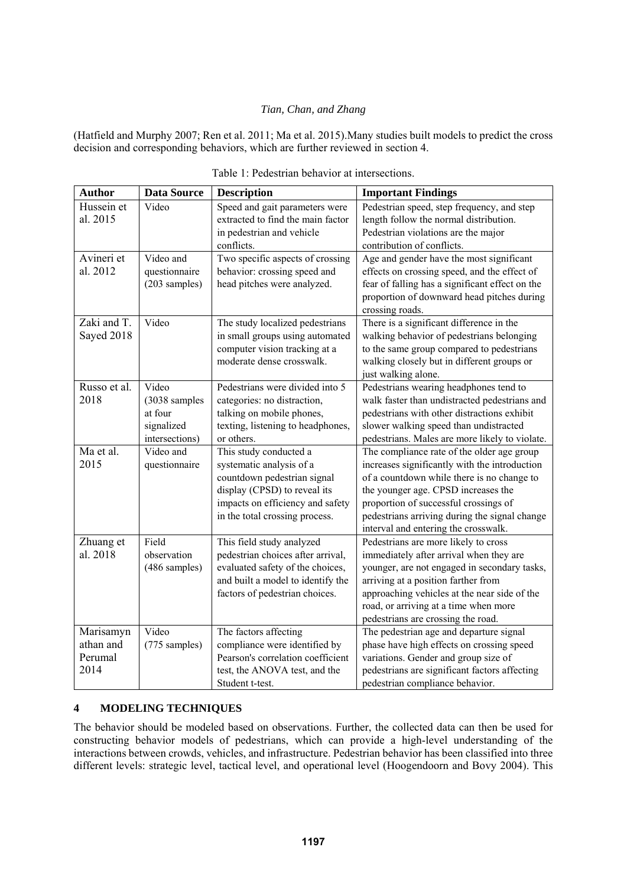(Hatfield and Murphy 2007; Ren et al. 2011; Ma et al. 2015).Many studies built models to predict the cross decision and corresponding behaviors, which are further reviewed in section 4.

| <b>Author</b> | <b>Data Source</b> | <b>Description</b>                | <b>Important Findings</b>                       |
|---------------|--------------------|-----------------------------------|-------------------------------------------------|
| Hussein et    | Video              | Speed and gait parameters were    | Pedestrian speed, step frequency, and step      |
| al. 2015      |                    | extracted to find the main factor | length follow the normal distribution.          |
|               |                    | in pedestrian and vehicle         | Pedestrian violations are the major             |
|               |                    | conflicts.                        | contribution of conflicts.                      |
| Avineri et    | Video and          | Two specific aspects of crossing  | Age and gender have the most significant        |
| al. 2012      | questionnaire      | behavior: crossing speed and      | effects on crossing speed, and the effect of    |
|               | (203 samples)      | head pitches were analyzed.       | fear of falling has a significant effect on the |
|               |                    |                                   | proportion of downward head pitches during      |
|               |                    |                                   | crossing roads.                                 |
| Zaki and T.   | Video              | The study localized pedestrians   | There is a significant difference in the        |
| Sayed 2018    |                    | in small groups using automated   | walking behavior of pedestrians belonging       |
|               |                    | computer vision tracking at a     | to the same group compared to pedestrians       |
|               |                    | moderate dense crosswalk.         | walking closely but in different groups or      |
|               |                    |                                   | just walking alone.                             |
| Russo et al.  | Video              | Pedestrians were divided into 5   | Pedestrians wearing headphones tend to          |
| 2018          | (3038 samples      | categories: no distraction,       | walk faster than undistracted pedestrians and   |
|               | at four            | talking on mobile phones,         | pedestrians with other distractions exhibit     |
|               | signalized         | texting, listening to headphones, | slower walking speed than undistracted          |
|               | intersections)     | or others.                        | pedestrians. Males are more likely to violate.  |
| Ma et al.     | Video and          | This study conducted a            | The compliance rate of the older age group      |
| 2015          | questionnaire      | systematic analysis of a          | increases significantly with the introduction   |
|               |                    | countdown pedestrian signal       | of a countdown while there is no change to      |
|               |                    | display (CPSD) to reveal its      | the younger age. CPSD increases the             |
|               |                    | impacts on efficiency and safety  | proportion of successful crossings of           |
|               |                    | in the total crossing process.    | pedestrians arriving during the signal change   |
|               |                    |                                   | interval and entering the crosswalk.            |
| Zhuang et     | Field              | This field study analyzed         | Pedestrians are more likely to cross            |
| al. 2018      | observation        | pedestrian choices after arrival, | immediately after arrival when they are         |
|               | (486 samples)      | evaluated safety of the choices,  | younger, are not engaged in secondary tasks,    |
|               |                    | and built a model to identify the | arriving at a position farther from             |
|               |                    | factors of pedestrian choices.    | approaching vehicles at the near side of the    |
|               |                    |                                   | road, or arriving at a time when more           |
|               |                    |                                   | pedestrians are crossing the road.              |
| Marisamyn     | Video              | The factors affecting             | The pedestrian age and departure signal         |
| athan and     | (775 samples)      | compliance were identified by     | phase have high effects on crossing speed       |
| Perumal       |                    | Pearson's correlation coefficient | variations. Gender and group size of            |
| 2014          |                    | test, the ANOVA test, and the     | pedestrians are significant factors affecting   |
|               |                    | Student t-test.                   | pedestrian compliance behavior.                 |

Table 1: Pedestrian behavior at intersections.

# **4 MODELING TECHNIQUES**

The behavior should be modeled based on observations. Further, the collected data can then be used for constructing behavior models of pedestrians, which can provide a high-level understanding of the interactions between crowds, vehicles, and infrastructure. Pedestrian behavior has been classified into three different levels: strategic level, tactical level, and operational level (Hoogendoorn and Bovy 2004). This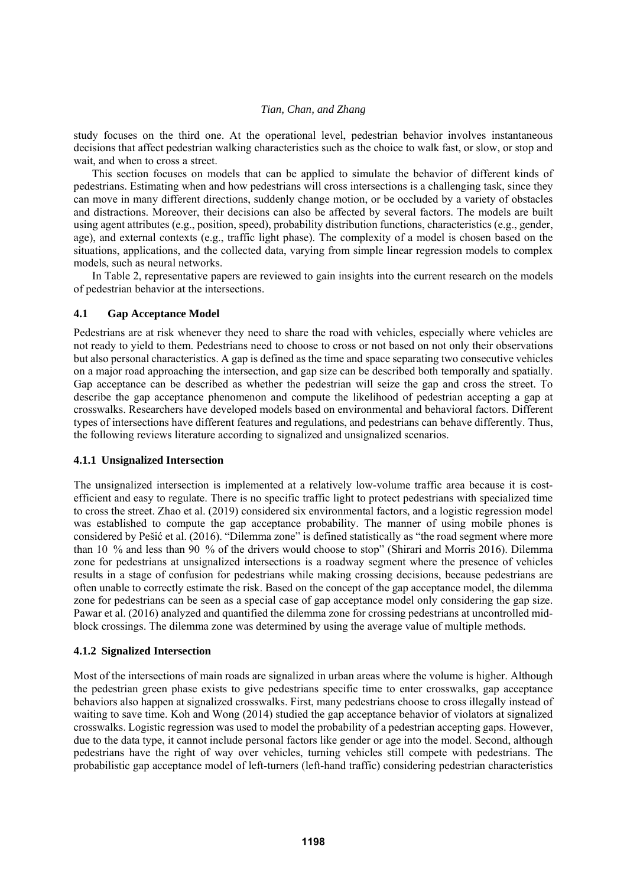study focuses on the third one. At the operational level, pedestrian behavior involves instantaneous decisions that affect pedestrian walking characteristics such as the choice to walk fast, or slow, or stop and wait, and when to cross a street.

This section focuses on models that can be applied to simulate the behavior of different kinds of pedestrians. Estimating when and how pedestrians will cross intersections is a challenging task, since they can move in many different directions, suddenly change motion, or be occluded by a variety of obstacles and distractions. Moreover, their decisions can also be affected by several factors. The models are built using agent attributes (e.g., position, speed), probability distribution functions, characteristics (e.g., gender, age), and external contexts (e.g., traffic light phase). The complexity of a model is chosen based on the situations, applications, and the collected data, varying from simple linear regression models to complex models, such as neural networks.

In Table 2, representative papers are reviewed to gain insights into the current research on the models of pedestrian behavior at the intersections.

#### **4.1 Gap Acceptance Model**

Pedestrians are at risk whenever they need to share the road with vehicles, especially where vehicles are not ready to yield to them. Pedestrians need to choose to cross or not based on not only their observations but also personal characteristics. A gap is defined as the time and space separating two consecutive vehicles on a major road approaching the intersection, and gap size can be described both temporally and spatially. Gap acceptance can be described as whether the pedestrian will seize the gap and cross the street. To describe the gap acceptance phenomenon and compute the likelihood of pedestrian accepting a gap at crosswalks. Researchers have developed models based on environmental and behavioral factors. Different types of intersections have different features and regulations, and pedestrians can behave differently. Thus, the following reviews literature according to signalized and unsignalized scenarios.

### **4.1.1 Unsignalized Intersection**

The unsignalized intersection is implemented at a relatively low-volume traffic area because it is costefficient and easy to regulate. There is no specific traffic light to protect pedestrians with specialized time to cross the street. Zhao et al. (2019) considered six environmental factors, and a logistic regression model was established to compute the gap acceptance probability. The manner of using mobile phones is considered by Pešić et al. (2016). "Dilemma zone" is defined statistically as "the road segment where more than 10 % and less than 90 % of the drivers would choose to stop" (Shirari and Morris 2016). Dilemma zone for pedestrians at unsignalized intersections is a roadway segment where the presence of vehicles results in a stage of confusion for pedestrians while making crossing decisions, because pedestrians are often unable to correctly estimate the risk. Based on the concept of the gap acceptance model, the dilemma zone for pedestrians can be seen as a special case of gap acceptance model only considering the gap size. Pawar et al. (2016) analyzed and quantified the dilemma zone for crossing pedestrians at uncontrolled midblock crossings. The dilemma zone was determined by using the average value of multiple methods.

### **4.1.2 Signalized Intersection**

Most of the intersections of main roads are signalized in urban areas where the volume is higher. Although the pedestrian green phase exists to give pedestrians specific time to enter crosswalks, gap acceptance behaviors also happen at signalized crosswalks. First, many pedestrians choose to cross illegally instead of waiting to save time. Koh and Wong (2014) studied the gap acceptance behavior of violators at signalized crosswalks. Logistic regression was used to model the probability of a pedestrian accepting gaps. However, due to the data type, it cannot include personal factors like gender or age into the model. Second, although pedestrians have the right of way over vehicles, turning vehicles still compete with pedestrians. The probabilistic gap acceptance model of left-turners (left-hand traffic) considering pedestrian characteristics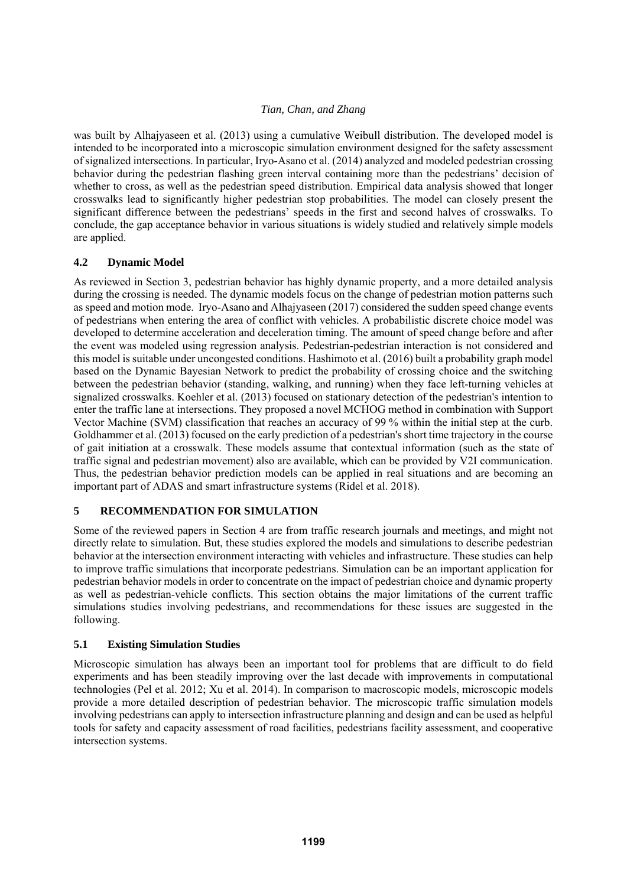was built by Alhajyaseen et al. (2013) using a cumulative Weibull distribution. The developed model is intended to be incorporated into a microscopic simulation environment designed for the safety assessment of signalized intersections. In particular, Iryo-Asano et al. (2014) analyzed and modeled pedestrian crossing behavior during the pedestrian flashing green interval containing more than the pedestrians' decision of whether to cross, as well as the pedestrian speed distribution. Empirical data analysis showed that longer crosswalks lead to significantly higher pedestrian stop probabilities. The model can closely present the significant difference between the pedestrians' speeds in the first and second halves of crosswalks. To conclude, the gap acceptance behavior in various situations is widely studied and relatively simple models are applied.

# **4.2 Dynamic Model**

As reviewed in Section 3, pedestrian behavior has highly dynamic property, and a more detailed analysis during the crossing is needed. The dynamic models focus on the change of pedestrian motion patterns such as speed and motion mode. Iryo-Asano and Alhajyaseen (2017) considered the sudden speed change events of pedestrians when entering the area of conflict with vehicles. A probabilistic discrete choice model was developed to determine acceleration and deceleration timing. The amount of speed change before and after the event was modeled using regression analysis. Pedestrian-pedestrian interaction is not considered and this model is suitable under uncongested conditions. Hashimoto et al. (2016) built a probability graph model based on the Dynamic Bayesian Network to predict the probability of crossing choice and the switching between the pedestrian behavior (standing, walking, and running) when they face left-turning vehicles at signalized crosswalks. Koehler et al. (2013) focused on stationary detection of the pedestrian's intention to enter the traffic lane at intersections. They proposed a novel MCHOG method in combination with Support Vector Machine (SVM) classification that reaches an accuracy of 99 % within the initial step at the curb. Goldhammer et al. (2013) focused on the early prediction of a pedestrian's short time trajectory in the course of gait initiation at a crosswalk. These models assume that contextual information (such as the state of traffic signal and pedestrian movement) also are available, which can be provided by V2I communication. Thus, the pedestrian behavior prediction models can be applied in real situations and are becoming an important part of ADAS and smart infrastructure systems (Ridel et al. 2018).

# **5 RECOMMENDATION FOR SIMULATION**

Some of the reviewed papers in Section 4 are from traffic research journals and meetings, and might not directly relate to simulation. But, these studies explored the models and simulations to describe pedestrian behavior at the intersection environment interacting with vehicles and infrastructure. These studies can help to improve traffic simulations that incorporate pedestrians. Simulation can be an important application for pedestrian behavior models in order to concentrate on the impact of pedestrian choice and dynamic property as well as pedestrian-vehicle conflicts. This section obtains the major limitations of the current traffic simulations studies involving pedestrians, and recommendations for these issues are suggested in the following.

# **5.1 Existing Simulation Studies**

Microscopic simulation has always been an important tool for problems that are difficult to do field experiments and has been steadily improving over the last decade with improvements in computational technologies (Pel et al. 2012; Xu et al. 2014). In comparison to macroscopic models, microscopic models provide a more detailed description of pedestrian behavior. The microscopic traffic simulation models involving pedestrians can apply to intersection infrastructure planning and design and can be used as helpful tools for safety and capacity assessment of road facilities, pedestrians facility assessment, and cooperative intersection systems.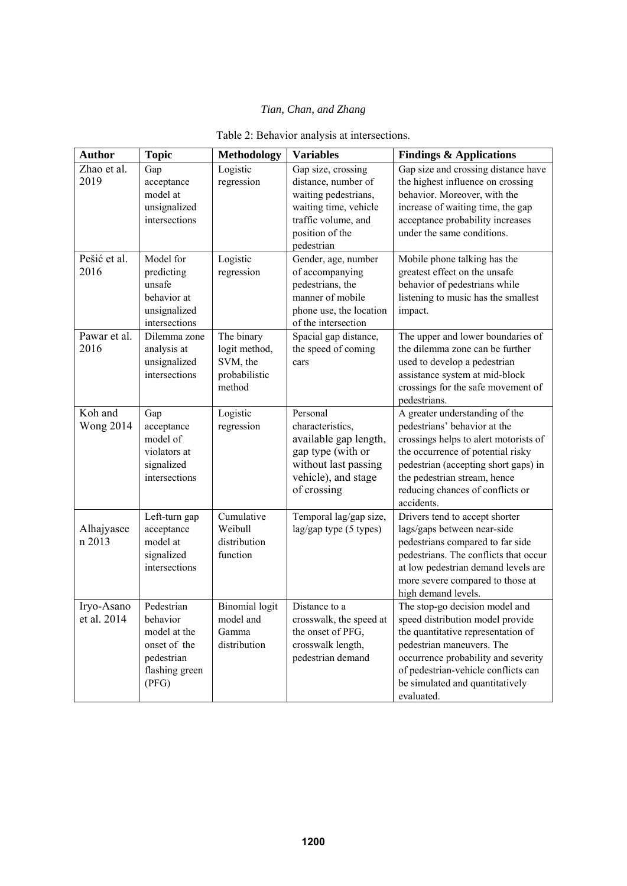| <b>Author</b>               | <b>Topic</b>                                                                                    | <b>Methodology</b>                                                 | <b>Variables</b>                                                                                                                                   | <b>Findings &amp; Applications</b>                                                                                                                                                                                                                                                               |
|-----------------------------|-------------------------------------------------------------------------------------------------|--------------------------------------------------------------------|----------------------------------------------------------------------------------------------------------------------------------------------------|--------------------------------------------------------------------------------------------------------------------------------------------------------------------------------------------------------------------------------------------------------------------------------------------------|
| Zhao et al.<br>2019         | Gap<br>acceptance<br>model at<br>unsignalized<br>intersections                                  | Logistic<br>regression                                             | Gap size, crossing<br>distance, number of<br>waiting pedestrians,<br>waiting time, vehicle<br>traffic volume, and<br>position of the<br>pedestrian | Gap size and crossing distance have<br>the highest influence on crossing<br>behavior. Moreover, with the<br>increase of waiting time, the gap<br>acceptance probability increases<br>under the same conditions.                                                                                  |
| Pešić et al.<br>2016        | Model for<br>predicting<br>unsafe<br>behavior at<br>unsignalized<br>intersections               | Logistic<br>regression                                             | Gender, age, number<br>of accompanying<br>pedestrians, the<br>manner of mobile<br>phone use, the location<br>of the intersection                   | Mobile phone talking has the<br>greatest effect on the unsafe<br>behavior of pedestrians while<br>listening to music has the smallest<br>impact.                                                                                                                                                 |
| Pawar et al.<br>2016        | Dilemma zone<br>analysis at<br>unsignalized<br>intersections                                    | The binary<br>logit method,<br>SVM, the<br>probabilistic<br>method | Spacial gap distance,<br>the speed of coming<br>cars                                                                                               | The upper and lower boundaries of<br>the dilemma zone can be further<br>used to develop a pedestrian<br>assistance system at mid-block<br>crossings for the safe movement of<br>pedestrians.                                                                                                     |
| Koh and<br><b>Wong 2014</b> | Gap<br>acceptance<br>model of<br>violators at<br>signalized<br>intersections                    | Logistic<br>regression                                             | Personal<br>characteristics,<br>available gap length,<br>gap type (with or<br>without last passing<br>vehicle), and stage<br>of crossing           | A greater understanding of the<br>pedestrians' behavior at the<br>crossings helps to alert motorists of<br>the occurrence of potential risky<br>pedestrian (accepting short gaps) in<br>the pedestrian stream, hence<br>reducing chances of conflicts or<br>accidents.                           |
| Alhajyasee<br>n 2013        | Left-turn gap<br>acceptance<br>model at<br>signalized<br>intersections                          | Cumulative<br>Weibull<br>distribution<br>function                  | Temporal lag/gap size,<br>lag/gap type (5 types)                                                                                                   | Drivers tend to accept shorter<br>lags/gaps between near-side<br>pedestrians compared to far side<br>pedestrians. The conflicts that occur<br>at low pedestrian demand levels are<br>more severe compared to those at<br>high demand levels.                                                     |
| Iryo-Asano<br>et al. 2014   | Pedestrian<br>behavior<br>model at the<br>onset of the<br>pedestrian<br>flashing green<br>(PFG) | <b>Binomial</b> logit<br>model and<br>Gamma<br>distribution        | Distance to a<br>the onset of PFG,<br>crosswalk length,<br>pedestrian demand                                                                       | The stop-go decision model and<br>crosswalk, the speed at $ $ speed distribution model provide<br>the quantitative representation of<br>pedestrian maneuvers. The<br>occurrence probability and severity<br>of pedestrian-vehicle conflicts can<br>be simulated and quantitatively<br>evaluated. |

# Table 2: Behavior analysis at intersections.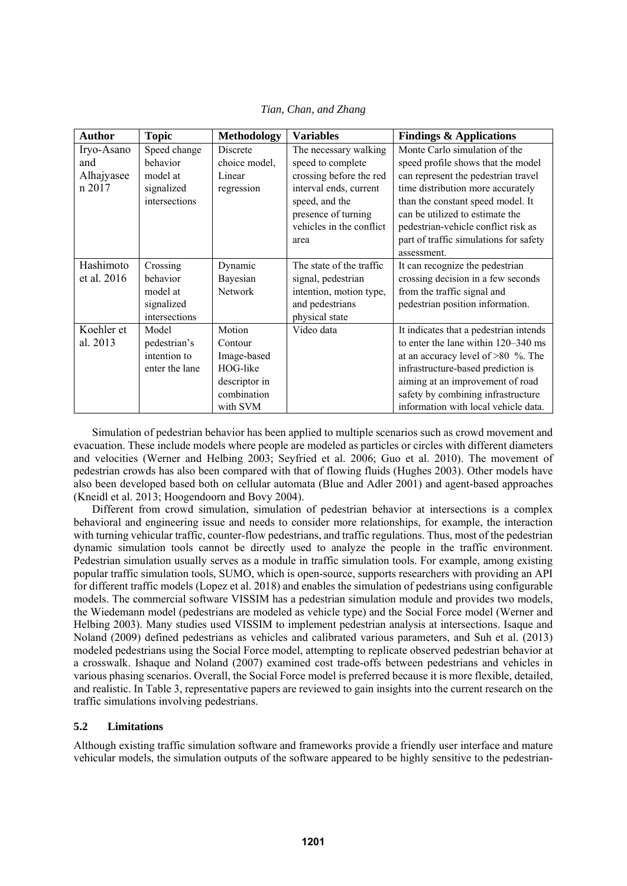| <b>Author</b> | <b>Topic</b>   | <b>Methodology</b> | <b>Variables</b>         | <b>Findings &amp; Applications</b>     |
|---------------|----------------|--------------------|--------------------------|----------------------------------------|
| Iryo-Asano    | Speed change   | <b>Discrete</b>    | The necessary walking    | Monte Carlo simulation of the          |
| and           | behavior       | choice model,      | speed to complete        | speed profile shows that the model     |
| Alhajyasee    | model at       | Linear             | crossing before the red  | can represent the pedestrian travel    |
| n 2017        | signalized     | regression         | interval ends, current   | time distribution more accurately      |
|               | intersections  |                    | speed, and the           | than the constant speed model. It      |
|               |                |                    | presence of turning      | can be utilized to estimate the        |
|               |                |                    | vehicles in the conflict | pedestrian-vehicle conflict risk as    |
|               |                |                    | area                     | part of traffic simulations for safety |
|               |                |                    |                          | assessment.                            |
| Hashimoto     | Crossing       | Dynamic            | The state of the traffic | It can recognize the pedestrian        |
| et al. 2016   | behavior       | Bayesian           | signal, pedestrian       | crossing decision in a few seconds     |
|               | model at       | <b>Network</b>     | intention, motion type,  | from the traffic signal and            |
|               | signalized     |                    | and pedestrians          | pedestrian position information.       |
|               | intersections  |                    | physical state           |                                        |
| Koehler et    | Model          | Motion             | Video data               | It indicates that a pedestrian intends |
| al. 2013      | pedestrian's   | Contour            |                          | to enter the lane within 120–340 ms    |
|               | intention to   | Image-based        |                          | at an accuracy level of >80 %. The     |
|               | enter the lane | HOG-like           |                          | infrastructure-based prediction is     |
|               |                | descriptor in      |                          | aiming at an improvement of road       |
|               |                | combination        |                          | safety by combining infrastructure     |
|               |                | with SVM           |                          | information with local vehicle data.   |

*Tian, Chan, and Zhang* 

Simulation of pedestrian behavior has been applied to multiple scenarios such as crowd movement and evacuation. These include models where people are modeled as particles or circles with different diameters and velocities (Werner and Helbing 2003; Seyfried et al. 2006; Guo et al. 2010). The movement of pedestrian crowds has also been compared with that of flowing fluids (Hughes 2003). Other models have also been developed based both on cellular automata (Blue and Adler 2001) and agent-based approaches (Kneidl et al. 2013; Hoogendoorn and Bovy 2004).

Different from crowd simulation, simulation of pedestrian behavior at intersections is a complex behavioral and engineering issue and needs to consider more relationships, for example, the interaction with turning vehicular traffic, counter-flow pedestrians, and traffic regulations. Thus, most of the pedestrian dynamic simulation tools cannot be directly used to analyze the people in the traffic environment. Pedestrian simulation usually serves as a module in traffic simulation tools. For example, among existing popular traffic simulation tools, SUMO, which is open-source, supports researchers with providing an API for different traffic models (Lopez et al. 2018) and enables the simulation of pedestrians using configurable models. The commercial software VISSIM has a pedestrian simulation module and provides two models, the Wiedemann model (pedestrians are modeled as vehicle type) and the Social Force model (Werner and Helbing 2003). Many studies used VISSIM to implement pedestrian analysis at intersections. Isaque and Noland (2009) defined pedestrians as vehicles and calibrated various parameters, and Suh et al. (2013) modeled pedestrians using the Social Force model, attempting to replicate observed pedestrian behavior at a crosswalk. Ishaque and Noland (2007) examined cost trade-offs between pedestrians and vehicles in various phasing scenarios. Overall, the Social Force model is preferred because it is more flexible, detailed, and realistic. In Table 3, representative papers are reviewed to gain insights into the current research on the traffic simulations involving pedestrians.

# **5.2 Limitations**

Although existing traffic simulation software and frameworks provide a friendly user interface and mature vehicular models, the simulation outputs of the software appeared to be highly sensitive to the pedestrian-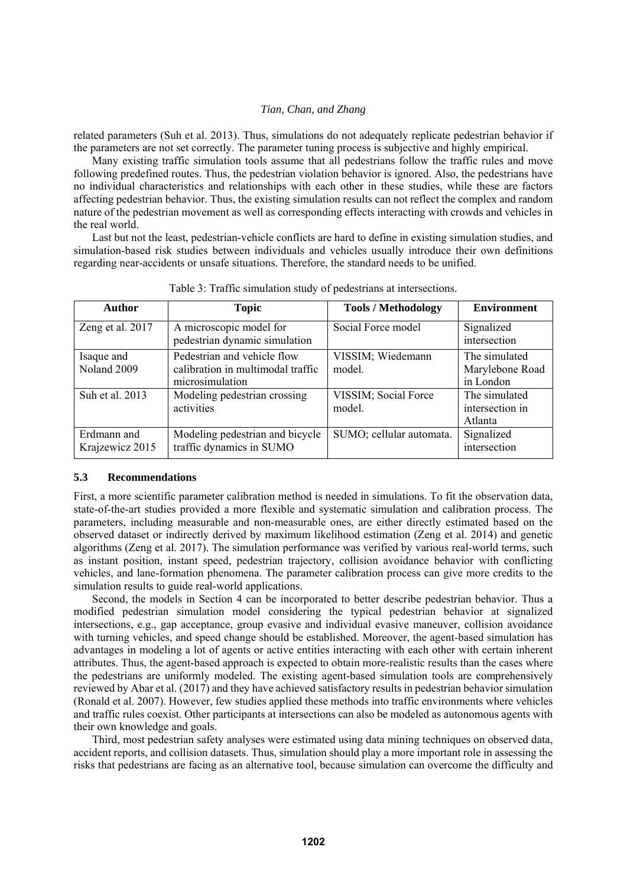related parameters (Suh et al. 2013). Thus, simulations do not adequately replicate pedestrian behavior if the parameters are not set correctly. The parameter tuning process is subjective and highly empirical.

Many existing traffic simulation tools assume that all pedestrians follow the traffic rules and move following predefined routes. Thus, the pedestrian violation behavior is ignored. Also, the pedestrians have no individual characteristics and relationships with each other in these studies, while these are factors affecting pedestrian behavior. Thus, the existing simulation results can not reflect the complex and random nature of the pedestrian movement as well as corresponding effects interacting with crowds and vehicles in the real world.

Last but not the least, pedestrian-vehicle conflicts are hard to define in existing simulation studies, and simulation-based risk studies between individuals and vehicles usually introduce their own definitions regarding near-accidents or unsafe situations. Therefore, the standard needs to be unified.

| <b>Author</b>                  | <b>Topic</b>                                                                        | <b>Tools / Methodology</b>     | <b>Environment</b>                            |
|--------------------------------|-------------------------------------------------------------------------------------|--------------------------------|-----------------------------------------------|
| Zeng et al. 2017               | A microscopic model for<br>pedestrian dynamic simulation                            | Social Force model             | Signalized<br>intersection                    |
| Isaque and<br>Noland 2009      | Pedestrian and vehicle flow<br>calibration in multimodal traffic<br>microsimulation | VISSIM; Wiedemann<br>model.    | The simulated<br>Marylebone Road<br>in London |
| Suh et al. 2013                | Modeling pedestrian crossing<br>activities                                          | VISSIM; Social Force<br>model. | The simulated<br>intersection in<br>Atlanta   |
| Erdmann and<br>Krajzewicz 2015 | Modeling pedestrian and bicycle<br>traffic dynamics in SUMO                         | SUMO; cellular automata.       | Signalized<br>intersection                    |

Table 3: Traffic simulation study of pedestrians at intersections.

#### **5.3 Recommendations**

First, a more scientific parameter calibration method is needed in simulations. To fit the observation data, state-of-the-art studies provided a more flexible and systematic simulation and calibration process. The parameters, including measurable and non-measurable ones, are either directly estimated based on the observed dataset or indirectly derived by maximum likelihood estimation (Zeng et al. 2014) and genetic algorithms (Zeng et al. 2017). The simulation performance was verified by various real-world terms, such as instant position, instant speed, pedestrian trajectory, collision avoidance behavior with conflicting vehicles, and lane-formation phenomena. The parameter calibration process can give more credits to the simulation results to guide real-world applications.

Second, the models in Section 4 can be incorporated to better describe pedestrian behavior. Thus a modified pedestrian simulation model considering the typical pedestrian behavior at signalized intersections, e.g., gap acceptance, group evasive and individual evasive maneuver, collision avoidance with turning vehicles, and speed change should be established. Moreover, the agent-based simulation has advantages in modeling a lot of agents or active entities interacting with each other with certain inherent attributes. Thus, the agent-based approach is expected to obtain more-realistic results than the cases where the pedestrians are uniformly modeled. The existing agent-based simulation tools are comprehensively reviewed by Abar et al. (2017) and they have achieved satisfactory results in pedestrian behavior simulation (Ronald et al. 2007). However, few studies applied these methods into traffic environments where vehicles and traffic rules coexist. Other participants at intersections can also be modeled as autonomous agents with their own knowledge and goals.

Third, most pedestrian safety analyses were estimated using data mining techniques on observed data, accident reports, and collision datasets. Thus, simulation should play a more important role in assessing the risks that pedestrians are facing as an alternative tool, because simulation can overcome the difficulty and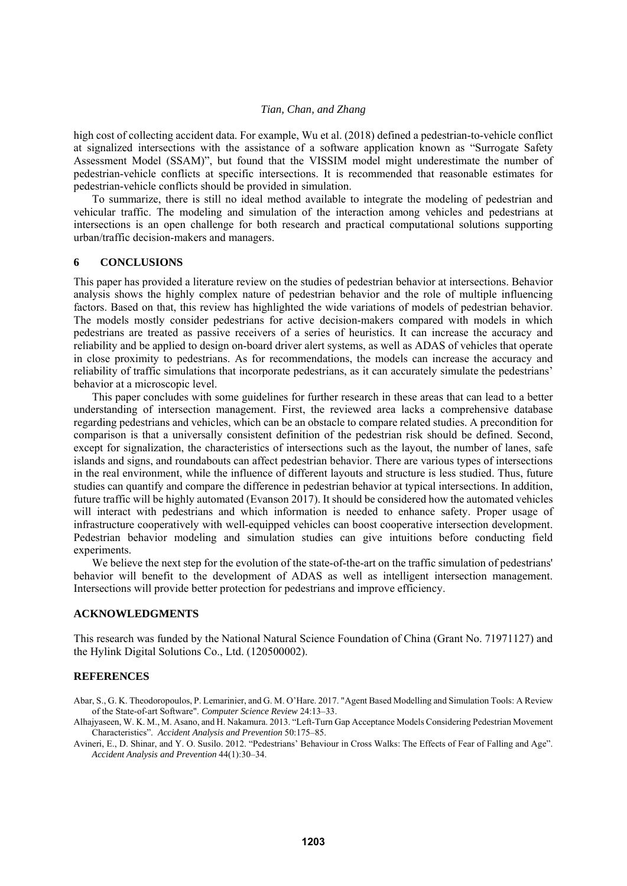high cost of collecting accident data. For example, Wu et al. (2018) defined a pedestrian-to-vehicle conflict at signalized intersections with the assistance of a software application known as "Surrogate Safety Assessment Model (SSAM)", but found that the VISSIM model might underestimate the number of pedestrian-vehicle conflicts at specific intersections. It is recommended that reasonable estimates for pedestrian-vehicle conflicts should be provided in simulation.

To summarize, there is still no ideal method available to integrate the modeling of pedestrian and vehicular traffic. The modeling and simulation of the interaction among vehicles and pedestrians at intersections is an open challenge for both research and practical computational solutions supporting urban/traffic decision-makers and managers.

#### **6 CONCLUSIONS**

This paper has provided a literature review on the studies of pedestrian behavior at intersections. Behavior analysis shows the highly complex nature of pedestrian behavior and the role of multiple influencing factors. Based on that, this review has highlighted the wide variations of models of pedestrian behavior. The models mostly consider pedestrians for active decision-makers compared with models in which pedestrians are treated as passive receivers of a series of heuristics. It can increase the accuracy and reliability and be applied to design on-board driver alert systems, as well as ADAS of vehicles that operate in close proximity to pedestrians. As for recommendations, the models can increase the accuracy and reliability of traffic simulations that incorporate pedestrians, as it can accurately simulate the pedestrians' behavior at a microscopic level.

This paper concludes with some guidelines for further research in these areas that can lead to a better understanding of intersection management. First, the reviewed area lacks a comprehensive database regarding pedestrians and vehicles, which can be an obstacle to compare related studies. A precondition for comparison is that a universally consistent definition of the pedestrian risk should be defined. Second, except for signalization, the characteristics of intersections such as the layout, the number of lanes, safe islands and signs, and roundabouts can affect pedestrian behavior. There are various types of intersections in the real environment, while the influence of different layouts and structure is less studied. Thus, future studies can quantify and compare the difference in pedestrian behavior at typical intersections. In addition, future traffic will be highly automated (Evanson 2017). It should be considered how the automated vehicles will interact with pedestrians and which information is needed to enhance safety. Proper usage of infrastructure cooperatively with well-equipped vehicles can boost cooperative intersection development. Pedestrian behavior modeling and simulation studies can give intuitions before conducting field experiments.

We believe the next step for the evolution of the state-of-the-art on the traffic simulation of pedestrians' behavior will benefit to the development of ADAS as well as intelligent intersection management. Intersections will provide better protection for pedestrians and improve efficiency.

#### **ACKNOWLEDGMENTS**

This research was funded by the National Natural Science Foundation of China (Grant No. 71971127) and the Hylink Digital Solutions Co., Ltd. (120500002).

#### **REFERENCES**

Abar, S., G. K. Theodoropoulos, P. Lemarinier, and G. M. O'Hare. 2017. "Agent Based Modelling and Simulation Tools: A Review of the State-of-art Software". *Computer Science Review* 24:13–33.

Alhajyaseen, W. K. M., M. Asano, and H. Nakamura. 2013. "Left-Turn Gap Acceptance Models Considering Pedestrian Movement Characteristics". *Accident Analysis and Prevention* 50:175–85.

Avineri, E., D. Shinar, and Y. O. Susilo. 2012. "Pedestrians' Behaviour in Cross Walks: The Effects of Fear of Falling and Age". *Accident Analysis and Prevention* 44(1):30–34.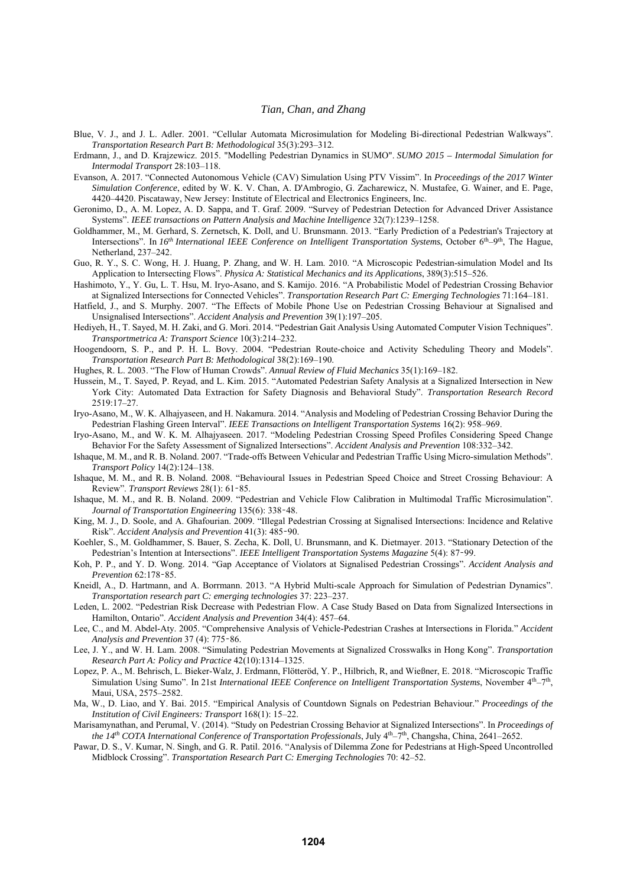- Blue, V. J., and J. L. Adler. 2001. "Cellular Automata Microsimulation for Modeling Bi-directional Pedestrian Walkways". *Transportation Research Part B: Methodological* 35(3):293–312.
- Erdmann, J., and D. Krajzewicz. 2015. "Modelling Pedestrian Dynamics in SUMO". *SUMO 2015 Intermodal Simulation for Intermodal Transport* 28:103–118.
- Evanson, A. 2017. "Connected Autonomous Vehicle (CAV) Simulation Using PTV Vissim". In *Proceedings of the 2017 Winter Simulation Conference*, edited by W. K. V. Chan, A. D'Ambrogio, G. Zacharewicz, N. Mustafee, G. Wainer, and E. Page, 4420–4420. Piscataway, New Jersey: Institute of Electrical and Electronics Engineers, Inc.
- Geronimo, D., A. M. Lopez, A. D. Sappa, and T. Graf. 2009. "Survey of Pedestrian Detection for Advanced Driver Assistance Systems". *IEEE transactions on Pattern Analysis and Machine Intelligence* 32(7):1239–1258.
- Goldhammer, M., M. Gerhard, S. Zernetsch, K. Doll, and U. Brunsmann. 2013. "Early Prediction of a Pedestrian's Trajectory at Intersections". In *16th International IEEE Conference on Intelligent Transportation Systems*, October 6<sup>th</sup>–9<sup>th</sup>, The Hague, Netherland, 237–242.
- Guo, R. Y., S. C. Wong, H. J. Huang, P. Zhang, and W. H. Lam. 2010. "A Microscopic Pedestrian-simulation Model and Its Application to Intersecting Flows". *Physica A: Statistical Mechanics and its Applications*, 389(3):515–526.
- Hashimoto, Y., Y. Gu, L. T. Hsu, M. Iryo-Asano, and S. Kamijo. 2016. "A Probabilistic Model of Pedestrian Crossing Behavior at Signalized Intersections for Connected Vehicles". *Transportation Research Part C: Emerging Technologies* 71:164–181.
- Hatfield, J., and S. Murphy. 2007. "The Effects of Mobile Phone Use on Pedestrian Crossing Behaviour at Signalised and Unsignalised Intersections". *Accident Analysis and Prevention* 39(1):197–205.
- Hediyeh, H., T. Sayed, M. H. Zaki, and G. Mori. 2014. "Pedestrian Gait Analysis Using Automated Computer Vision Techniques". *Transportmetrica A: Transport Science* 10(3):214–232.
- Hoogendoorn, S. P., and P. H. L. Bovy. 2004. "Pedestrian Route-choice and Activity Scheduling Theory and Models". *Transportation Research Part B: Methodological* 38(2):169–190.
- Hughes, R. L. 2003. "The Flow of Human Crowds". *Annual Review of Fluid Mechanics* 35(1):169–182.
- Hussein, M., T. Sayed, P. Reyad, and L. Kim. 2015. "Automated Pedestrian Safety Analysis at a Signalized Intersection in New York City: Automated Data Extraction for Safety Diagnosis and Behavioral Study". *Transportation Research Record* 2519:17–27.
- Iryo-Asano, M., W. K. Alhajyaseen, and H. Nakamura. 2014. "Analysis and Modeling of Pedestrian Crossing Behavior During the Pedestrian Flashing Green Interval". *IEEE Transactions on Intelligent Transportation Systems* 16(2): 958–969.
- Iryo-Asano, M., and W. K. M. Alhajyaseen. 2017. "Modeling Pedestrian Crossing Speed Profiles Considering Speed Change Behavior For the Safety Assessment of Signalized Intersections". *Accident Analysis and Prevention* 108:332–342.
- Ishaque, M. M., and R. B. Noland. 2007. "Trade-offs Between Vehicular and Pedestrian Traffic Using Micro-simulation Methods". *Transport Policy* 14(2):124–138.
- Ishaque, M. M., and R. B. Noland. 2008. "Behavioural Issues in Pedestrian Speed Choice and Street Crossing Behaviour: A Review". *Transport Reviews* 28(1): 61–85.
- Ishaque, M. M., and R. B. Noland. 2009. "Pedestrian and Vehicle Flow Calibration in Multimodal Traffic Microsimulation". *Journal of Transportation Engineering* 135(6): 338–48.
- King, M. J., D. Soole, and A. Ghafourian. 2009. "Illegal Pedestrian Crossing at Signalised Intersections: Incidence and Relative Risk". *Accident Analysis and Prevention* 41(3): 485–90.
- Koehler, S., M. Goldhammer, S. Bauer, S. Zecha, K. Doll, U. Brunsmann, and K. Dietmayer. 2013. "Stationary Detection of the Pedestrian's Intention at Intersections". *IEEE Intelligent Transportation Systems Magazine* 5(4): 87–99.
- Koh, P. P., and Y. D. Wong. 2014. "Gap Acceptance of Violators at Signalised Pedestrian Crossings". *Accident Analysis and Prevention* 62:178–85.
- Kneidl, A., D. Hartmann, and A. Borrmann. 2013. "A Hybrid Multi-scale Approach for Simulation of Pedestrian Dynamics". *Transportation research part C: emerging technologies* 37: 223–237.
- Leden, L. 2002. "Pedestrian Risk Decrease with Pedestrian Flow. A Case Study Based on Data from Signalized Intersections in Hamilton, Ontario". *Accident Analysis and Prevention* 34(4): 457–64.
- Lee, C., and M. Abdel-Aty. 2005. "Comprehensive Analysis of Vehicle-Pedestrian Crashes at Intersections in Florida." *Accident Analysis and Prevention* 37 (4): 775–86.
- Lee, J. Y., and W. H. Lam. 2008. "Simulating Pedestrian Movements at Signalized Crosswalks in Hong Kong". *Transportation Research Part A: Policy and Practice* 42(10):1314–1325.
- Lopez, P. A., M. Behrisch, L. Bieker-Walz, J. Erdmann, Flötteröd, Y. P., Hilbrich, R, and Wießner, E. 2018. "Microscopic Traffic Simulation Using Sumo". In 21st *International IEEE Conference on Intelligent Transportation Systems*, November 4th–7th, Maui, USA, 2575–2582.
- Ma, W., D. Liao, and Y. Bai. 2015. "Empirical Analysis of Countdown Signals on Pedestrian Behaviour." *Proceedings of the Institution of Civil Engineers: Transport* 168(1): 15–22.
- Marisamynathan, and Perumal, V. (2014). "Study on Pedestrian Crossing Behavior at Signalized Intersections". In *Proceedings of the 14th COTA International Conference of Transportation Professionals*, July 4th–7th, Changsha, China, 2641–2652.
- Pawar, D. S., V. Kumar, N. Singh, and G. R. Patil. 2016. "Analysis of Dilemma Zone for Pedestrians at High-Speed Uncontrolled Midblock Crossing". *Transportation Research Part C: Emerging Technologies* 70: 42–52.